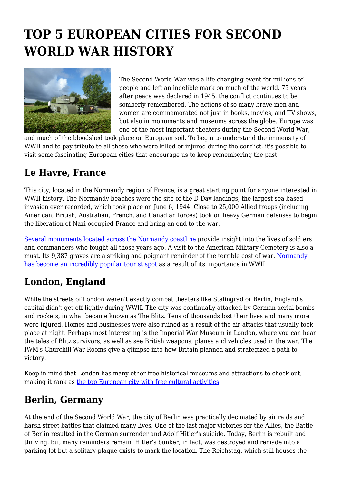# **TOP 5 EUROPEAN CITIES FOR SECOND WORLD WAR HISTORY**



The Second World War was a life-changing event for millions of people and left an indelible mark on much of the world. 75 years after peace was declared in 1945, the conflict continues to be somberly remembered. The actions of so many brave men and women are commemorated not just in books, movies, and TV shows, but also in monuments and museums across the globe. Europe was one of the most important theaters during the Second World War,

and much of the bloodshed took place on European soil. To begin to understand the immensity of WWII and to pay tribute to all those who were killed or injured during the conflict, it's possible to visit some fascinating European cities that encourage us to keep remembering the past.

#### **Le Havre, France**

This city, located in the Normandy region of France, is a great starting point for anyone interested in WWII history. The Normandy beaches were the site of the D-Day landings, the largest sea-based invasion ever recorded, which took place on June 6, 1944. Close to 25,000 Allied troops (including American, British, Australian, French, and Canadian forces) took on heavy German defenses to begin the liberation of Nazi-occupied France and bring an end to the war.

[Several monuments located across the Normandy coastline](https://www.tripsavvy.com/normandy-d-day-landing-beaches-1517339) provide insight into the lives of soldiers and commanders who fought all those years ago. A visit to the American Military Cemetery is also a must. Its 9,387 graves are a striking and poignant reminder of the terrible cost of war. [Normandy](https://www.tourism-review.com/remembrance-tourism-is-a-gold-mine-for-france-news11097) [has become an incredibly popular tourist spot](https://www.tourism-review.com/remembrance-tourism-is-a-gold-mine-for-france-news11097) as a result of its importance in WWII.

# **London, England**

While the streets of London weren't exactly combat theaters like Stalingrad or Berlin, England's capital didn't get off lightly during WWII. The city was continually attacked by German aerial bombs and rockets, in what became known as The Blitz. Tens of thousands lost their lives and many more were injured. Homes and businesses were also ruined as a result of the air attacks that usually took place at night. Perhaps most interesting is the Imperial War Museum in London, where you can hear the tales of Blitz survivors, as well as see British weapons, planes and vehicles used in the war. The IWM's Churchill War Rooms give a glimpse into how Britain planned and strategized a path to victory.

Keep in mind that London has many other free historical museums and attractions to check out, making it rank as [the top European city with free cultural activities.](https://www.omio.com/travel/european-destinations)

# **Berlin, Germany**

At the end of the Second World War, the city of Berlin was practically decimated by air raids and harsh street battles that claimed many lives. One of the last major victories for the Allies, the Battle of Berlin resulted in the German surrender and Adolf Hitler's suicide. Today, Berlin is rebuilt and thriving, but many reminders remain. Hitler's bunker, in fact, was destroyed and remade into a parking lot but a solitary plaque exists to mark the location. The Reichstag, which still houses the